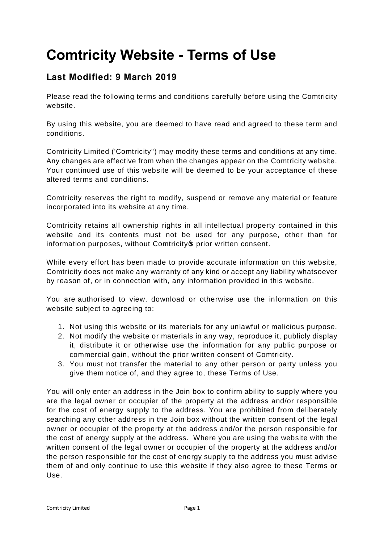## **Comtricity Website - Terms of Use**

## **Last Modified: 9 March 2019**

Please read the following terms and conditions carefully before using the Comtricity website.

By using this website, you are deemed to have read and agreed to these term and conditions.

Comtricity Limited ('Comtricity") may modify these terms and conditions at any time. Any changes are effective from when the changes appear on the Comtricity website. Your continued use of this website will be deemed to be your acceptance of these altered terms and conditions.

Comtricity reserves the right to modify, suspend or remove any material or feature incorporated into its website at any time.

Comtricity retains all ownership rights in all intellectual property contained in this website and its contents must not be used for any purpose, other than for information purposes, without Comtricity oprior written consent.

While every effort has been made to provide accurate information on this website, Comtricity does not make any warranty of any kind or accept any liability whatsoever by reason of, or in connection with, any information provided in this website.

You are authorised to view, download or otherwise use the information on this website subject to agreeing to:

- 1. Not using this website or its materials for any unlawful or malicious purpose.
- 2. Not modify the website or materials in any way, reproduce it, publicly display it, distribute it or otherwise use the information for any public purpose or commercial gain, without the prior written consent of Comtricity.
- 3. You must not transfer the material to any other person or party unless you give them notice of, and they agree to, these Terms of Use.

You will only enter an address in the Join box to confirm ability to supply where you are the legal owner or occupier of the property at the address and/or responsible for the cost of energy supply to the address. You are prohibited from deliberately searching any other address in the Join box without the written consent of the legal owner or occupier of the property at the address and/or the person responsible for the cost of energy supply at the address. Where you are using the website with the written consent of the legal owner or occupier of the property at the address and/or the person responsible for the cost of energy supply to the address you must advise them of and only continue to use this website if they also agree to these Terms or Use.